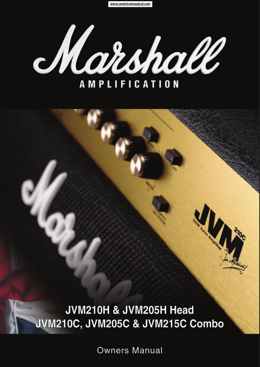www.americanmusical.com



JVM210H & JVM205H Head JVM210C, JVM205C & JVM215C Combo

**Owners Manual**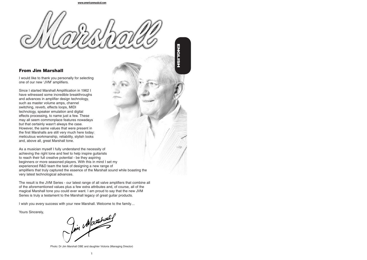**ENGLISH**

# **From Jim Marshall**

I would like to thank you personally for selecting one of our new 'JVM' amplifiers.

Since I started Marshall Amplification in 1962 I have witnessed some incredible breakthroughs and advances in amplifier design technology, such as master volume amps, channel switching, reverb, effects loops, MIDI technology, speaker emulation and digital effects processing, to name just a few. These may all seem commonplace features nowadays but that certainly wasn't always the case. However, the same values that were present in the first Marshalls are still very much here today: meticulous workmanship, reliability, stylish looks and, above all, great Marshall tone.

As a musician myself I fully understand the necessity of achieving the right tone and feel to help inspire guitarists to reach their full creative potential - be they aspiring beginners or more seasoned players. With this in mind I set my experienced R&D team the task of designing a new range of amplifiers that truly captured the essence of the Marshall sound while boasting the very latest technological advances.

The result is the JVM Series - our latest range of all valve amplifiers that combine all of the aforementioned values plus a few extra attributes and, of course, all of the magical Marshall tone you could ever want. I am proud to say that the new JVM Series is truly a testament to the Marshall legacy of great guitar products.

I wish you every success with your new Marshall. Welcome to the family…

Yours Sincerely,

Im Marchael

Photo: Dr Jim Marshall OBE and daughter Victoria (Managing Director)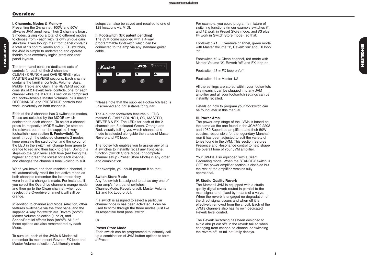## **Overview**

Presenting the 2-channel, 100W and 50W all-valve JVM amplifiers. Their 2 channels boast 3 modes, giving you a total of 6 different modes to choose from - each with its own unique gain structure. Even though their front panel contains a total of 16 control knobs and 6 LED switches, the JVM is simple to understand and operate thanks to its extremely logical front and rear panel layouts.

The front panel contains dedicated sets of controls for each of their 2 channels - CLEAN / CRUNCH and OVERDRIVE - plus MASTER and REVERB sections. Each channel contains the familiar controls, Volume, Bass, Middle, Treble and Gain. The REVERB section consists of 2 Reverb level controls, one for each channel while the MASTER section is comprised of 2 footswitchable Master Volumes, plus master RESONANCE and PRESENCE controls that work universally on both channels.

Each of the 2 channels has 3 switchable modes. These are selected by the MODE switch dedicated to each channel. To select a channel press its respective MODE switch (or step on the relevant button on the supplied 4-way footswitch - see section **II. Footswitch**). To scroll through the selected channel's 3 modes keep pressing the said button and the colour of the LED in the switch will change from green to orange to red and then back to green. Doing this steps-up the gain level each time (red being the highest and green the lowest for each channel) and changes the channel's tonal voicing to suit.

When you leave and then reselect a channel, it will automatically recall the last active mode as both channels remember the last mode they were in until a change is made. For instance, if you select the Overdrive channel's orange mode and then go to the Clean channel, when you reselect the Overdrive channel it will still be orange.

In addition to channel and Mode selection, other features switchable via the front panel and the supplied 4-way footswitch are Reverb (on/off) Master Volume selection (1 or 2), and Series/Parallel effects loop (on/off). All 3 of these options are also remembered by each Mode.

To sum up, each of the JVMs 6 Modes will remember its most recent Reverb, FX loop and Master Volume selection. Additionally mode

setups can also be saved and recalled to one of 128 locations via MIDI.

**II. Footswitch (UK patent pending)** The JVM come supplied with a 4-way programmable footswitch which can be connected to the amp via any standard guitar cable.



\*Please note that the supplied Footswitch lead is unscreened and not suitable for guitar.

The 4-button footswitch features 5 LEDS marked CLEAN / CRUNCH, OD, MASTER REVERB & FX. The LEDs for each of the 2 channels are 3-coloured Green, Orange and Red, visually telling you which channel and mode is selected alongside the status of Master, Reverb and FX loop. the reverb off, its tail naturally decays. **1 2 3 4**

The footswitch enables you to assign any of its 4 switches to instantly recall any front panel function (Switch Store Mode) or complete channel setup (Preset Store Mode) in any order and combination.

For example, you could program it so that:

### **Switch Store Mode**

Any footswitch is assigned to act as any one of your amp's front panel switches: Channel/Mode; Reverb on/off; Master Volume 1/2 and FX Loop on/off.

If a switch is assigned to select a particular channel once is has been activated, it can be used to scroll through the three modes, just like its respective front panel switch.

# Or…

#### **Preset Store Mode**

Each switch can be programmed to instantly call up a combination of JVM button options to form a Preset.

For example, you could program a mixture of switching functions (in our example switches #1 and #2 work in Preset Store mode, and #3 plus #4 work in Switch Store mode), so that:

Footswitch #1 = Overdrive channel, green mode with Master Volume '1'. Reverb 'on' and FX loop 'off'.

Footswitch  $#2 =$  Clean channel, red mode with Master Volume '2', Reverb 'off' and FX loop on.

Footswitch  $#3 = FX$  loop on/off

Footswitch #4 = Master 1/2

All the settings are stored within your footswitch; this means it can be plugged into any JVM amplifier and all your footswitch settings can be instantly recalled.

Details on how to program your footswitch can be found later in this manual.

### **III. Power Amp**

The power amp stage of the JVMs is based on the same as the one found in the JCM800 2203 and 1959 Superlead amplifiers and their 50W cousins, responsible for the legendary Marshall roar it has been adjusted to suit the variety of tones found in the JVM. This section features Presence and Resonance control to help shape the overall tone of your JVM amplifier.

Your JVM is also equipped with a Silent Recording mode. When the STANDBY switch is OFF the power amplifier section is disabled but the rest of the amplifier remains fully operational.

### **IV. Studio Quality Reverb**

The Marshall JVM is equipped with a studio quality digital reverb routed in parallel to the main signal and mixed by means of a valve. When the reverb is engaged no degradation of the direct signal occurs and when off it is effectively removed from the circuit. Each of the JVM's channels also has its own dedicated Reverb level control.

The Reverb switching has been designed to avoid abrupt cut offs in the reverb tail so when changing from channel to channel or switching<br>the reverb off. its tail naturally decays.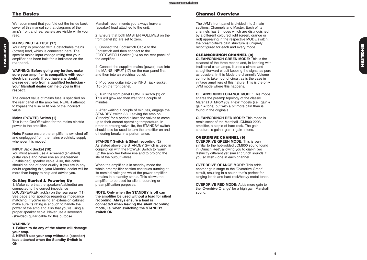# **The Basics**

**ENGLISH**

ENGLISH

We recommend that you fold out the inside back cover of this manual so that diagrams of the amp's front and rear panels are visible while you read.

# **MAINS INPUT & FUSE (17)**

Your amp is provided with a detachable mains (power) lead, which is connected here. The specific mains input voltage rating that your amplifier has been built for is indicated on the rear panel.

**WARNING: Before going any further, make sure your amplifier is compatible with your electrical supply. If you have any doubt, please get help from a qualified technician your Marshall dealer can help you in this respect.**

The correct value of mains fuse is specified on the rear panel of the amplifier. NEVER attempt to bypass the fuse or fit one of the incorrect value.

#### **Mains (POWER) Switch (1)**

This is the On/Off switch for the mains electric power to the amplifier.

**Note:** Please ensure the amplifier is switched off and unplugged from the mains electricity supply whenever it is moved!

#### **INPUT Jack Socket (10)**

You must always use a screened (shielded) guitar cable and never use an unscreened (unshielded) speaker cable. Also, this cable should be one of good quality. If you are in any doubt regarding this, your Marshall dealer will be more than happy to help and advise you.

### **Getting Started & Powering Up**

1. Make sure that the speakers/cabinet(s) are connected to the correct impedance LOUDSPEAKER jack(s) on the rear panel (11). See page 8 for specifics regarding impedance matching. If you're using an extension cabinet make sure its rating is enough to handle the power of the amp and also that you're using a proper speaker cable. Never use a screened (shielded) guitar cable for this purpose.

### **WARNING!**

**1. Failure to do any of the above will damage your amp.**

**2. NEVER use your amp without a (speaker) load attached when the Standby Switch is ON.**

Marshall recommends you always leave a (speaker) load attached to the unit.

2. Ensure that both MASTER VOLUMES on the front panel (5) are set to zero.

3. Connect the Footswitch Cable to the Footswitch and then connect to the FOOTSWITCH Socket (15) on the rear panel of the amplifier.

4. Connect the supplied mains (power) lead into the MAINS INPUT (17) on the rear panel first and then into an electrical outlet.

5. Plug your guitar into the INPUT jack socket (10) on the front panel.

6. Turn the front panel POWER switch (1) on. This will glow red then wait for a couple of minutes.

7. After waiting a couple of minutes, engage the STANDBY switch (2). Leaving the amp on 'Standby' for a period allows the valves to come up to their correct operating temperature. In order to prolong valve life, the STANDBY switch should also be used to turn the amplifier on and off during breaks in a performance.

### **STANDBY Switch & Silent recording (2)**

As stated above the STANDBY Switch is used in conjunction with the POWER Switch to 'warm up' the amplifier before use and to prolong the life of the output valves.

When the amplifier is in standby mode the whole preamplifier section continues running at its nominal voltages whilst the power amplifier remains in a standby status. This allows the amplifier to be used for silent recording or preamplification purposes.

**NOTE: Only when the STANDBY is off can the amplifier be used without a load for silent recording. Always ensure a load is connected when leaving the silent recording mode, i.e. when switching the STANDBY switch ON.**

# **Channel Overview**

The JVM's front panel is divided into 2 main sections: Channels and Master. Each of its channels has 3 modes which are distinguished by a different coloured light (green, orange or red) appearing in the respective MODE switch; the preamplifier's gain structure is uniquely reconfigured for each and every mode.

## **CLEAN/CRUNCH CHANNEL (8)**

**CLEAN/CRUNCH GREEN MODE:** This is the cleanest of the three modes and, in keeping with traditional clean amps, it uses a simple and straightforward circuit keeping the signal as pure as possible. In this Mode the channel's Volume control is taken out of circuit as is the case in vintage amplifiers of this nature. This is the only JVM mode where this happens.

**CLEAN/CRUNCH ORANGE MODE:** This mode shares the preamp topology of the classic Marshall JTM45/1959 'Plexi' models (i.e.: gain + gain + tone) but with a bit more gain than is found in the originals.

**CLEAN/CRUNCH RED MODE:** This mode is reminiscent of the Marshall JCM800 2203 amplifier, a staple of hard rock. The gain structure is gain + gain + gain + tone.

## **OVERDRIVE CHANNEL (9)**

**OVERDRIVE GREEN MODE:** This is very similar to the hot-rodded JCM800 sound found in 'Crunch Red', allowing you to dial-in two distinctly different yet similar crunch sounds if you so wish - one in each channel.

**OVERDRIVE ORANGE MODE:** This adds another gain stage to the 'Overdrive Green' circuit, resulting in a sound that's perfect for singing leads and hard rock/heavy metal tones.

**OVERDRIVE RED MODE:** Adds more gain to the 'Overdrive Orange' for a high gain Marshall sound.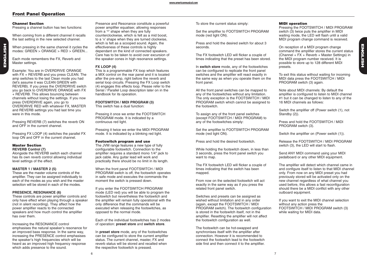# **Front Panel Operation**

#### **Channel Section**

**ENGLISH**

ENGLISH

Pressing a channel button has two functions:

When coming from a different channel it recalls the last setting in the new selected channel.

When pressing in the same channel it cycles the modes: GREEN > ORANGE > RED > GREEN...

Each mode remembers the FX, Reverb and Master settings.

Example: You are in OVERDRIVE ORANGE with FX + REVERB and you press CLEAN. The amp switches to the last Clean mode you had (let's assume it was CLEAN GREEN with REVERB). If you press the OVERDRIVE switch you go back to OVERDRIVE ORANGE with FX + REVERB. This allows bouncing between channels without losing the settings. If you now press OVERDRIVE again, you go to OVERDRIVE RED with whatever FX, MASTER and REVERB settings you had last time you were in this mode.

Pressing REVERB (7) switches the reverb ON and OFF in the current channel.

Pressing FX LOOP (4) switches the parallel FX loop ON and OFF in the current channel.

#### **Master Section REVERB Control (7)**

Alongside the REVERB switch each channel has its own reverb control allowing individual level settings of the effect.

### **MASTER 1 / MASTER 2 (5)**

These are the master volume controls of the amplifier. They can be assigned individually to each of the modes as you wish and the master selection will be stored in each of the modes.

### **PRESENCE, RESONANCE (6)**

These controls are power amplifier controls and only have effect when playing through a speaker (not in silent recording). They affect how the power amplifier reacts to the connected speakers and how much control the amplifier has over them.

Increasing the RESONANCE control emphasises the natural speaker's resonance for an improved bass response. In the same way, increasing the PRESENCE control emphasises the speaker's high frequencies which will be heard as an improved high frequency response which adds presence to the sound.

Presence and Resonance constitute a powerful power amplifier equaliser, allowing responses from a '<sup> $\lambda$ </sup> shape when they are fully counterclockwise, which is felt as a mid boost, to a 'v' shape when they are turned clockwise, which is felt as a scooped sound. Again, the effectiveness of these controls is highly dependant on the kind of connected speakers. Care has to be taken to avoid over excursion of the speaker cones in high resonance settings.

## **FX LOOP (4)**

This is a programmable FX loop which features a MIX control on the rear panel and it is located after the pre-amp, right before the reverb and serial loop circuits. Pressing the FX Loop switch (4) engages this effects loop. Please refer to the Serial / Parallel Loop description later on in the handbook for its operation.

**FOOTSWITCH / MIDI PROGRAM (3)** This switch has a dual function:

Pressing it once we enter the FOOTSWITCH PROGRAM mode. It is indicated by a continuous red light.

Pressing it twice we enter the MIDI PROGRAM mode. It is indicated by a blinking red light.

### **Footswitch program and use**

The JVM range features a new type of fully configurable footswitch. Connection to the amplifier requires a standard mono 1/4" jack to jack cable. Any guitar lead will work and practically there should be no limit in its length.

When the front panel FOOTSWITCH / MIDI PROGRAM switch is off, the footswitch operates in safe mode and executes the commands the moment the switch is pressed down.

If you enter the FOOTSWITCH PROGRAM mode (LED red) you will be able to program the footswitch but nevertheless the footswitch and the amplifier will remain fully operational with the only difference that the commands will be executed when releasing the footswitches, as opposed to the normal mode.

Each of the individual footswitches has 2 modes of operation: **preset store** and **switch store**.

In **preset store** mode, any of the footswitches can be configured to store the current amplifier status. The current channel, master, FX and reverb status will be stored and recalled when the respective footswitch is pressed.

To store the current status simply:

Set the amplifier to FOOTSWITCH PROGRAM mode (red light ON).

Press and hold the desired switch for about 3 seconds.

The FX footswitch LED will flicker a couple of times indicating that the preset has been stored.

In **switch store** mode, any of the footswitches can be configured to replicate the front panel switches and the amplifier will react exactly in the same way as when you operate them on the front panel.

All the front panel switches can be mapped to any of the footswitches without any limitation. The only exception is the FOOTSWITCH / MIDI PROGRAM switch which cannot be assigned to the footswitch.

To assign any of the front panel switches (except FOOTSWITCH / MIDI PROGRAM) to any of the footswitches simply:

Set the amplifier to FOOTSWITCH PROGRAM mode (red light ON).

Press and hold the desired footswitch.

While holding the footswitch down, in less than 3 seconds, press the front panel switch you want to map.

The FX footswitch LED will flicker a couple of times indicating that the switch has been mapped.

From now on the selected footswitch will act exactly in the same way as if you press the related front panel switch.

Switches and presets can be assigned as wished without limitation and in any order (again, except the FOOTSWITCH / MIDI PROGRAM switch). The footswitch configuration is stored in the footswitch itself, not in the amplifier. Resetting the amplifier will not affect the footswitch configuration as well.

The footswitch can be hot-swapped and synchronises itself with the amplifier after connection. However it is recommended to connect the footswitch lead to the footswitch side first and then connect it to the amplifier.

### **MIDI operation**

Pressing the FOOTSWITCH / MIDI PROGRAM switch (3) twice puts the amplifier in MIDI waiting mode, the LED will flash until a valid MIDI program change command is received.

On reception of a MIDI program change command the amplifier stores the current status (Channel +  $FX +$  Reverb + Master Settings) in the MIDI program number received. It is possible to store up to 128 different MIDI presets.

To exit this status without waiting for incoming MIDI data press the FOOTSWITCH / MIDI PROGRAM switch (3) again.

Note about MIDI channels: By default the amplifier is configured to listen to MIDI channel #1 but it can be changed to listen to any of the 16 MIDI channels as follows:

Switch the amplifier off (Power switch (1), not Standby (2)).

Press and hold the FOOTSWITCH / MIDI PROGRAM switch (3).

Switch the amplifier on (Power switch (1)).

Release the FOOTSWITCH / MIDI PROGRAM switch (3), the LED will start to flash.

Send ANY MIDI command using your MIDI pedalboard or any other MIDI equipment.

The amplifier will detect which channel came in and configure itself to listen to that MIDI channel only. From now on any MIDI preset you had previously stored will be activated only on the new channel regardless of what channel you used before, this allows a fast reconfiguration should there be a MIDI conflict with any other outboard equipment.

If you want to exit the MIDI channel selection without any action press the FOOTSWITCH / MIDI PROGRAM switch (3) while waiting for MIDI data.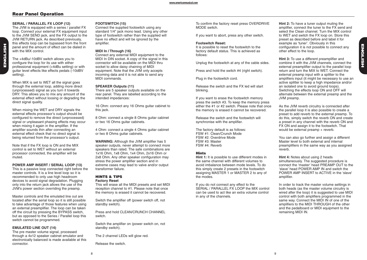# **Rear Panel Operation**

**ENGLISH**

ENGLISH

# **SERIAL / PARALLEL FX LOOP (12)**

The JVM is equipped with a series / parallel FX loop. Connect your external FX equipment input to the JVM SEND jack, and the FX output to the JVM RETURN jack. As described previously, this effects loop can be bypassed from the front panel and the amount of effect can be dialed in with the MIX control.

The +4dBu/-10dBV switch allows you to configure the loop for its use with either professional equipment (+4dBu setting) or with guitar level effects like effects pedals (-10dBV setting).

When MIX is set to WET all the signal goes through the external loop, adding more direct (unprocessed) signal as you turn it towards DRY. This allows you to mix any amount of the external effect without loosing or degrading the direct signal quality.

When mixing the WET and DRY signals the external effects processor's output should be configured to remove the direct (unprocessed) signal or unpleasant phasing effects may occur when mixing it again in the amplifier. If the amplifier sounds thin after connecting an external effect check that no direct signal is being returned from the processor's output.

Note that if the FX loop is ON and the MIX control is set to WET without an external processor connected, the amplifier will be muted.

# **POWER AMP INSERT / SERIAL LOOP (13)**

This is a passive loop connected right before the master controls. It is a line level loop so it is recommended to only use high headroom devices to avoid signal degradation. Plugging only into the return jack allows the use of the JVM's power section overriding the preamp.

Master controls and the emulated line out are located after the serial loop so it is still possible to take advantage of those features when using an external preamplifier. The loop can be taken off the circuit by pressing the BYPASS switch, but as opposed to the Series / Parallel loop this switch cannot be programmed.

# **EMULATED LINE OUT (14)**

The pre master volume signal, processed through a 4x12 speaker cabinet emulator and electronically balanced is made available at this connector.

# **FOOTSWITCH (15)**

Connect the supplied footswitch using any standard 1/4" jack mono lead. Using any other type of footswitch rather than the supplied will have no effect and will be ignored by the amplifier.

# **MIDI In / Through (16)**

Connect any external MIDI equipment to the MIDI In DIN socket. A copy of the signal in this connector will be available on the MIDI thru socket to allow daisy chaining of MIDI equipment. Note that the JVM only accepts incoming data and it is not able to send any MIDI commands.

# **SPEAKER Outputs (11)**

There are 5 speaker outputs available on the rear panel. They are labelled according to the intended impedances:

16 Ohm: connect any 16 Ohms guitar cabinet to this jack.

8 Ohm: connect a single 8 Ohms guitar cabinet or two 16 Ohms guitar cabinets.

4 Ohm: connect a single 4 Ohms guitar cabinet or two 8 Ohms guitar cabinets.

**WARNING:** Although the JVM amplifier has 5 speaker outputs, never attempt to connect more speakers than rated. The safe combinations are 1x16 Ohm, 1x8 Ohm, 1x4 Ohm, 2x16 Ohm or 2x8 Ohm. Any other speaker configuration may stress the power amplifier section and in extreme cases may lead to valve and/or output transformer failure.

## **HINTS & TIPS Factory Reset**

This will erase all the MIDI presets and set MIDI reception channel to #1. Please note that once the memory is erased it cannot be recovered.

Switch the amplifier off (power switch off, not standby switch).

Press and hold CLEAN/CRUNCH CHANNEL switch.

Switch the amplifier on (power switch on, not standby switch).

The 2 channel LEDs will glow red.

Release the switch.

To confirm the factory reset press OVERDRIVE MODE switch.

If you want to abort, press any other switch.

### **Footswitch Reset:**

It is possible to reset the footswitch to the factory default status. This is achieved as follows:

Unplug the footswitch at any of the cable sides.

Press and hold the switch #4 (right switch).

Plug in the footswitch cord.

Release the switch and the FX led will start blinking.

If you want to erase the footswitch memory press the switch #3. To keep the memory press either the #1 or #2 switch. Please note that once the memory is erased it cannot be recovered.

Release the switch and the footswitch will synchronise with the amplifier.

The factory default is as follows: FSW #1: Clean/Crunch Mode FSW #2: Overdrive Mode FSW #3: Master FSW #4: Reverb

## **Hints**

**Hint 1:** It is possible to use different modes in the same channel with different volumes to avoid imbalance between mode levels. To do this simply create 2 presets in the footswitch assigning MASTER 1 or MASTER 2 to any of the modes.

If you do not connect any effect to the SERIAL / PARALLEL FX LOOP the MIX control can be used to act like an extra volume control in any of the channels.

**Hint 2:** To have a tuner output muting the amplifier, connect the tuner to the FX send and select the Clean channel. Turn the MIX control to WET and switch the FX loop on. Store this preset as described before and label it for example as 'tuner'. Obviously in this configuration it is not possible to connect any other effect to the loop.

**Hint 3:** To use a different preamplifier and combine it with the JVM channels, connect the external preamplifier output to the parallel loop return and turn the MIX to WET. Connect the external preamp input with a splitter to the amplifiers input (it might be necessary to use an active splitter to keep a high impedance and/or an isolated one to avoid ground loops). Switching the effects loop ON and OFF will alternate between the external preamp and the JVM preamp.

As the JVM reverb circuitry is connected after the parallel loop it is also possible to create a preset to add reverb to the external preamp. To do this, simply switch the reverb ON and create a preset in any channel with the reverb ON and FX ON and assign it to the footswitch. That would be external preamp + reverb.

You can also go further and assign a different Master level to both external and internal preamplifiers in the same way as you assigned reverb.

**Hint 4:** Notes about using 2 heads simultaneously. The suggested procedure is connect the 'master' head PREAMP OUT to the 'slave' head POWER AMP IN and switch the POWER AMP INSERT to ACTIVE in the 'slave' amplifier.

In order to track the master volume settings in both heads (as the master volume circuitry is wired after the loop) it is suggested to use MIDI control with both amplifiers programmed in the same way. Connect the MIDI IN of one of the amplifiers to the MIDI THROUGH of the other and the pedalboard or MIDI equipment to the remaining MIDI IN.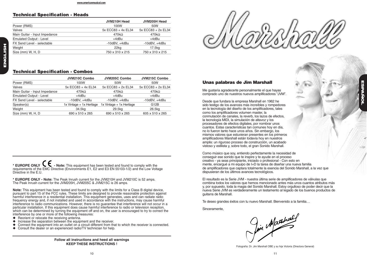# **Technical Specification - Heads**

|                                | JVM210H Head        | JVM205H Head       |
|--------------------------------|---------------------|--------------------|
| Power (RMS)                    | 100W                | 50W                |
| Valves                         | 5x ECC83 + 4x EL34  | 5x ECC83 + 2x EL34 |
| Main Guitar - Input Impedance  | 470k $\Omega$       | 470k $\Omega$      |
| <b>Emulated Output - Level</b> | +4dBu               | +4dBu              |
| FX Send Level - selectable     | $-10$ dBV, $+4$ dBu | $-10dBV, +4dBu$    |
| Weight                         | 22kg                | 17.5kg             |
| Size (mm) W, H, D              | 750 x 310 x 215     | 750 x 310 x 215    |

# **Technical Specification - Combos**

|                                | JVM210C Combo            | JVM205C Combo            | JVM215C Combo      |
|--------------------------------|--------------------------|--------------------------|--------------------|
| Power (RMS)                    | 100W                     | 50W                      | 50W                |
| Valves                         | 5x ECC83 + 4x EL34       | 5x ECC83 + 2x EL34       | 5x ECC83 + 2x EL34 |
| Main Guitar - Input Impedance  | $470k\Omega$             | 470k $\Omega$            | $470k\Omega$       |
| <b>Emulated Output - Level</b> | $+4$ d $Bu$              | +4dBu                    | +4dBu              |
| FX Send Level - selectable     | $-10$ dBV. $+4$ dBu      | $-10$ dBV. $+4$ dBu      | $-10dBV, +4dBu$    |
| Speaker(s)                     | 1x Vintage + 1x Heritage | 1x Vintage + 1x Heritage | G <sub>12</sub> B  |
| Weight                         | 34.5kg                   | 29.5kg                   | 26.5kg             |
| Size (mm) W, H, D              | 690 x 510 x 265          | 690 x 510 x 265          | 605 x 510 x 265    |

\* **EUROPE ONLY C \, - Note:** This equipment has been tested and found to comply with the requirements of the EMC Directive (Environments E1, E2 and E3 EN 55103-1/2) and the Low Voltage Directive in the E.U.

**\* EUROPE ONLY - Note:** The Peak Inrush current for the JVM210H and JVM210C is 52 amps. The Peak Inrush current for the JVM205H, JVM205C & JVM215C is 26 amps.

**Note:** This equipment has been tested and found to comply with the limits for a Class B digital device, pursuant to part 15 of the FCC rules. These limits are designed to provide reasonable protection against harmful interference in a residential installation. This equipment generates, uses and can radiate radio frequency energy and, if not installed and used in accordance with the instructions, may cause harmful interference to radio communications. However, there is no guarantee that interference will not occur in a particular installation. If this equipment does cause harmful interference to radio or television reception, which can be determined by turning the equipment off and on, the user is encouraged to try to correct the interference by one or more of the following measures:

- ◆ Reorient or relocate the receiving antenna.
- ◆ Increase the separation between the equipment and the receiver.
- Connect the equipment into an outlet on a circuit different from that to which the receiver is connected.
- Consult the dealer or an experienced radio/TV technician for help.

**Follow all instructions and heed all warnings KEEP THESE INSTRUCTIONS !**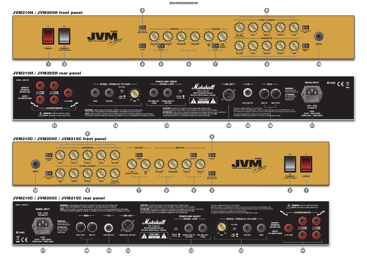#### www.americanmusical.com



# **JVM210H / JVM205H rear panel**



# **JVM210C / JVM205C / JVM215C rear panel**